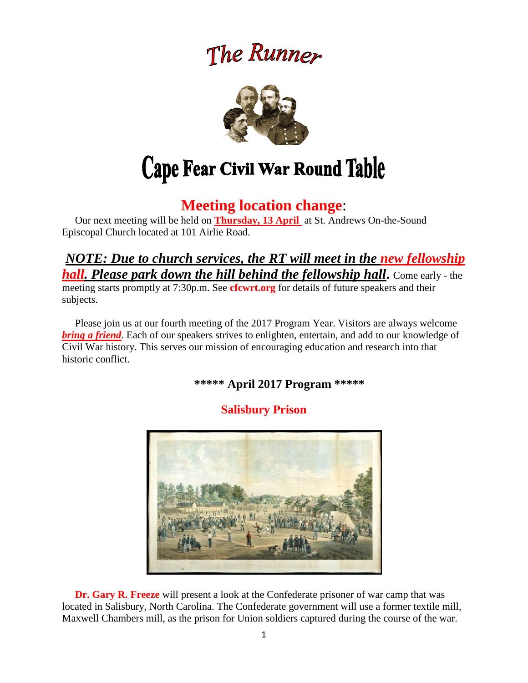# The Runner



# **Meeting location change**:

 Our next meeting will be held on **Thursday, 13 April** at St. Andrews On-the-Sound Episcopal Church located at 101 Airlie Road.

## *NOTE: Due to church services, the RT will meet in the new fellowship hall. Please park down the hill behind the fellowship hall***.** Come early - the meeting starts promptly at 7:30p.m. See **cfcwrt.org** for details of future speakers and their subjects.

 Please join us at our fourth meeting of the 2017 Program Year. Visitors are always welcome – *bring a friend*. Each of our speakers strives to enlighten, entertain, and add to our knowledge of Civil War history. This serves our mission of encouraging education and research into that historic conflict.

**\*\*\*\*\* April 2017 Program \*\*\*\*\***

# **Salisbury Prison**



 **Dr. Gary R. Freeze** will present a look at the Confederate prisoner of war camp that was located in Salisbury, North Carolina. The Confederate government will use a former textile mill, Maxwell Chambers mill, as the prison for Union soldiers captured during the course of the war.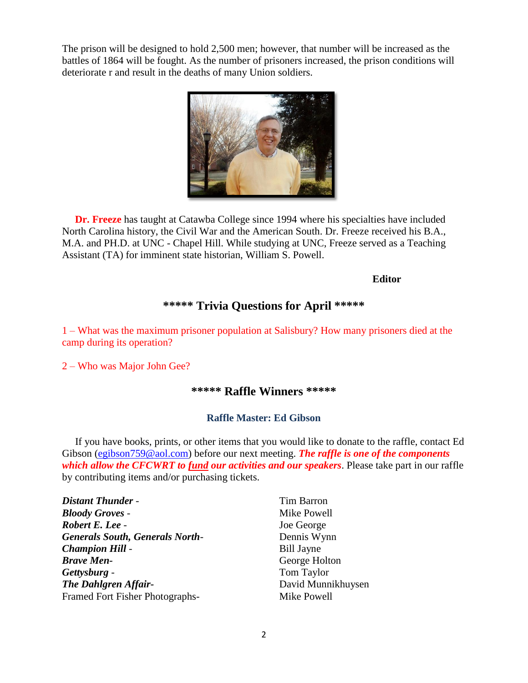The prison will be designed to hold 2,500 men; however, that number will be increased as the battles of 1864 will be fought. As the number of prisoners increased, the prison conditions will deteriorate r and result in the deaths of many Union soldiers.



 **Dr. Freeze** has taught at Catawba College since 1994 where his specialties have included North Carolina history, the Civil War and the American South. Dr. Freeze received his B.A., M.A. and PH.D. at UNC - Chapel Hill. While studying at UNC, Freeze served as a Teaching Assistant (TA) for imminent state historian, William S. Powell.

#### **Editor**

### **\*\*\*\*\* Trivia Questions for April \*\*\*\*\***

1 – What was the maximum prisoner population at Salisbury? How many prisoners died at the camp during its operation?

2 – Who was Major John Gee?

#### **\*\*\*\*\* Raffle Winners \*\*\*\*\***

#### **Raffle Master: Ed Gibson**

If you have books, prints, or other items that you would like to donate to the raffle, contact Ed Gibson [\(egibson759@aol.com\)](mailto:egibson759@aol.com) before our next meeting. *The raffle is one of the components which allow the CFCWRT to fund our activities and our speakers*. Please take part in our raffle by contributing items and/or purchasing tickets.

| <b>Distant Thunder -</b>               | Tim Barron         |
|----------------------------------------|--------------------|
| <b>Bloody Groves -</b>                 | Mike Powell        |
| Robert E. Lee -                        | Joe George         |
| <b>Generals South, Generals North-</b> | Dennis Wynn        |
| <b>Champion Hill -</b>                 | <b>Bill Jayne</b>  |
| <b>Brave Men-</b>                      | George Holton      |
| Gettysburg -                           | Tom Taylor         |
| <b>The Dahlgren Affair-</b>            | David Munnikhuysen |
| Framed Fort Fisher Photographs-        | Mike Powell        |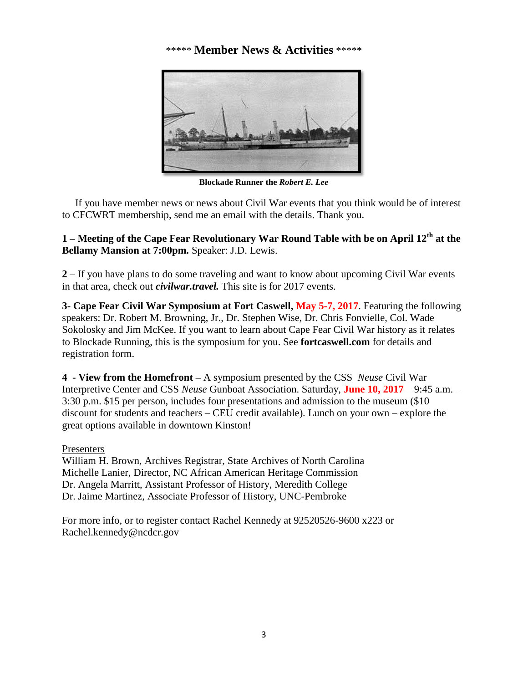#### \*\*\*\*\* **Member News & Activities** \*\*\*\*\*



**Blockade Runner the** *Robert E. Lee*

 If you have member news or news about Civil War events that you think would be of interest to CFCWRT membership, send me an email with the details. Thank you.

**1 – Meeting of the Cape Fear Revolutionary War Round Table with be on April 12th at the Bellamy Mansion at 7:00pm.** Speaker: J.D. Lewis.

**2** – If you have plans to do some traveling and want to know about upcoming Civil War events in that area, check out *civilwar.travel.* This site is for 2017 events.

**3- Cape Fear Civil War Symposium at Fort Caswell, May 5-7, 2017**. Featuring the following speakers: Dr. Robert M. Browning, Jr., Dr. Stephen Wise, Dr. Chris Fonvielle, Col. Wade Sokolosky and Jim McKee. If you want to learn about Cape Fear Civil War history as it relates to Blockade Running, this is the symposium for you. See **fortcaswell.com** for details and registration form.

**4 - View from the Homefront –** A symposium presented by the CSS *Neuse* Civil War Interpretive Center and CSS *Neuse* Gunboat Association. Saturday, **June 10, 2017** – 9:45 a.m. – 3:30 p.m. \$15 per person, includes four presentations and admission to the museum (\$10 discount for students and teachers – CEU credit available). Lunch on your own – explore the great options available in downtown Kinston!

#### Presenters

William H. Brown, Archives Registrar, State Archives of North Carolina Michelle Lanier, Director, NC African American Heritage Commission Dr. Angela Marritt, Assistant Professor of History, Meredith College Dr. Jaime Martinez, Associate Professor of History, UNC-Pembroke

For more info, or to register contact Rachel Kennedy at 92520526-9600 x223 or Rachel.kennedy@ncdcr.gov